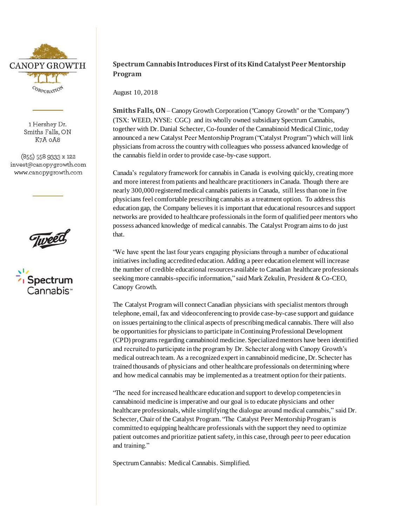

1 Hershey Dr. Smiths Falls, ON K7A OA8

(855) 558 9333 x 122 invest@canopygrowth.com www.canopygrowth.com





## **Spectrum Cannabis Introduces First of its Kind CatalystPeer Mentorship Program**

August 10, 2018

**Smiths Falls, ON**– Canopy Growth Corporation ("Canopy Growth" or the "Company") (TSX: WEED, NYSE: CGC) and its wholly owned subsidiary Spectrum Cannabis, together with Dr. Danial Schecter, Co-founder of the Cannabinoid Medical Clinic, today announced a new Catalyst Peer Mentorship Program ("Catalyst Program") which will link physicians from across the country with colleagues who possess advanced knowledge of the cannabis field in order to provide case-by-case support.

Canada's regulatory framework for cannabis in Canada is evolving quickly, creatingmore and more interest from patients and healthcare practitioners in Canada. Though there are nearly 300,000 registered medical cannabis patients in Canada, still less than one in five physicians feel comfortable prescribing cannabis as a treatment option. To address this education gap, the Company believes it is important that educational resources and support networks are provided to healthcare professionals in the form of qualified peer mentors who possess advanced knowledge of medical cannabis. The Catalyst Program aims to do just that.

"We have spent the last four years engaging physicians through a number of educational initiatives including accredited education. Adding a peer education element will increase the number of credible educational resources available to Canadian healthcare professionals seeking more cannabis-specific information," said Mark Zekulin, President & Co-CEO, Canopy Growth.

The Catalyst Program will connect Canadian physicians with specialist mentors through telephone, email, fax and videoconferencing to provide case-by-case support and guidance on issues pertaining to the clinical aspects of prescribing medical cannabis. There will also be opportunities for physicians to participate in Continuing Professional Development (CPD) programs regarding cannabinoid medicine. Specialized mentors have been identified and recruited to participate in the program by Dr. Schecter along with Canopy Growth's medical outreach team. As a recognized expert in cannabinoid medicine, Dr. Schecter has trained thousands of physicians and other healthcare professionals on determining where and how medical cannabis may be implemented as a treatment option for their patients.

"The need for increased healthcare education and support to develop competencies in cannabinoid medicine is imperative and our goal is to educate physicians and other healthcare professionals, while simplifying the dialogue around medical cannabis," said Dr. Schecter, Chair of the Catalyst Program. "The Catalyst Peer Mentorship Program is committed to equipping healthcare professionals with the support they need to optimize patient outcomes and prioritize patient safety, in this case, through peer to peer education and training."

Spectrum Cannabis: Medical Cannabis. Simplified.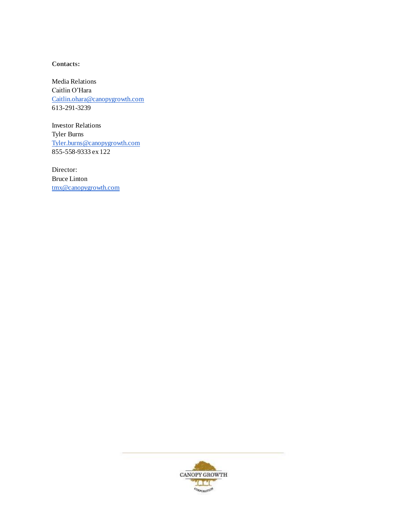**Contacts:**

Media Relations Caitlin O'Hara [Caitlin.ohara@canopygrowth.com](mailto:Caitlin.ohara@canopygrowth.com) 613-291-3239

Investor Relations Tyler Burns [Tyler.burns@canopygrowth.com](mailto:Tyler.burns@canopygrowth.com) 855-558-9333 ex 122

Director: Bruce Linton [tmx@canopygrowth.com](mailto:tmx@canopygrowth.com)